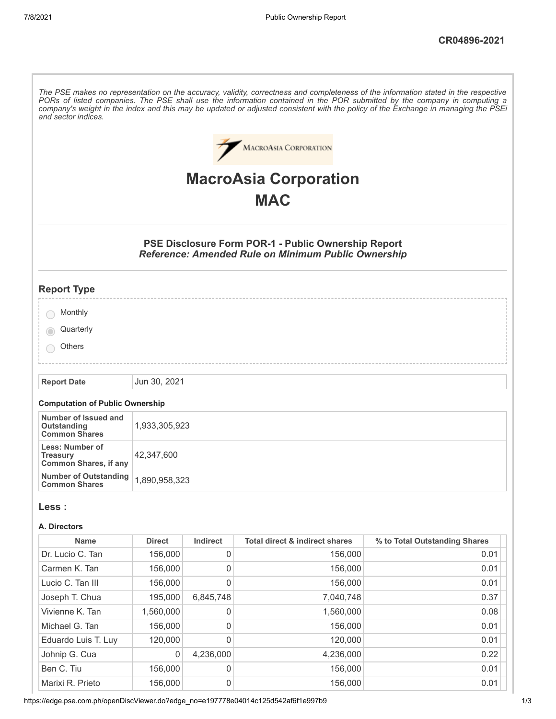| and sector indices.                                                |               |                     |                                                                                                                          | The PSE makes no representation on the accuracy, validity, correctness and completeness of the information stated in the respective<br>PORs of listed companies. The PSE shall use the information contained in the POR submitted by the company in computing a<br>company's weight in the index and this may be updated or adjusted consistent with the policy of the Exchange in managing the PSEi |
|--------------------------------------------------------------------|---------------|---------------------|--------------------------------------------------------------------------------------------------------------------------|------------------------------------------------------------------------------------------------------------------------------------------------------------------------------------------------------------------------------------------------------------------------------------------------------------------------------------------------------------------------------------------------------|
|                                                                    |               |                     | <b>MACROASIA CORPORATION</b>                                                                                             |                                                                                                                                                                                                                                                                                                                                                                                                      |
|                                                                    |               |                     |                                                                                                                          |                                                                                                                                                                                                                                                                                                                                                                                                      |
|                                                                    |               |                     | <b>MacroAsia Corporation</b>                                                                                             |                                                                                                                                                                                                                                                                                                                                                                                                      |
|                                                                    |               |                     | <b>MAC</b>                                                                                                               |                                                                                                                                                                                                                                                                                                                                                                                                      |
|                                                                    |               |                     | <b>PSE Disclosure Form POR-1 - Public Ownership Report</b><br><b>Reference: Amended Rule on Minimum Public Ownership</b> |                                                                                                                                                                                                                                                                                                                                                                                                      |
| <b>Report Type</b>                                                 |               |                     |                                                                                                                          |                                                                                                                                                                                                                                                                                                                                                                                                      |
| Monthly                                                            |               |                     |                                                                                                                          |                                                                                                                                                                                                                                                                                                                                                                                                      |
| Quarterly                                                          |               |                     |                                                                                                                          |                                                                                                                                                                                                                                                                                                                                                                                                      |
| Others                                                             |               |                     |                                                                                                                          |                                                                                                                                                                                                                                                                                                                                                                                                      |
| <b>Report Date</b>                                                 | Jun 30, 2021  |                     |                                                                                                                          |                                                                                                                                                                                                                                                                                                                                                                                                      |
| <b>Computation of Public Ownership</b>                             |               |                     |                                                                                                                          |                                                                                                                                                                                                                                                                                                                                                                                                      |
| Number of Issued and<br><b>Outstanding</b><br><b>Common Shares</b> | 1,933,305,923 |                     |                                                                                                                          |                                                                                                                                                                                                                                                                                                                                                                                                      |
| Less: Number of<br><b>Treasury</b><br><b>Common Shares, if any</b> | 42,347,600    |                     |                                                                                                                          |                                                                                                                                                                                                                                                                                                                                                                                                      |
| <b>Number of Outstanding</b><br><b>Common Shares</b>               | 1,890,958,323 |                     |                                                                                                                          |                                                                                                                                                                                                                                                                                                                                                                                                      |
| Less :                                                             |               |                     |                                                                                                                          |                                                                                                                                                                                                                                                                                                                                                                                                      |
| A. Directors                                                       |               |                     |                                                                                                                          |                                                                                                                                                                                                                                                                                                                                                                                                      |
| <b>Name</b>                                                        | <b>Direct</b> | Indirect            | <b>Total direct &amp; indirect shares</b>                                                                                | % to Total Outstanding Shares                                                                                                                                                                                                                                                                                                                                                                        |
| Dr. Lucio C. Tan                                                   | 156,000       | 0                   | 156,000                                                                                                                  | 0.01                                                                                                                                                                                                                                                                                                                                                                                                 |
| Carmen K. Tan                                                      | 156,000       | 0                   | 156,000                                                                                                                  | 0.01                                                                                                                                                                                                                                                                                                                                                                                                 |
| Lucio C. Tan III                                                   | 156,000       | 0                   | 156,000                                                                                                                  | 0.01                                                                                                                                                                                                                                                                                                                                                                                                 |
| Joseph T. Chua                                                     | 195,000       | 6,845,748           | 7,040,748                                                                                                                | 0.37                                                                                                                                                                                                                                                                                                                                                                                                 |
| Vivienne K. Tan                                                    | 1,560,000     | 0                   | 1,560,000                                                                                                                | 0.08                                                                                                                                                                                                                                                                                                                                                                                                 |
| Michael G. Tan                                                     | 156,000       | 0                   | 156,000                                                                                                                  | 0.01                                                                                                                                                                                                                                                                                                                                                                                                 |
| Eduardo Luis T. Luy                                                | 120,000       | $\mathsf{O}\xspace$ | 120,000                                                                                                                  | 0.01                                                                                                                                                                                                                                                                                                                                                                                                 |
| Johnip G. Cua                                                      | 0             | 4,236,000           | 4,236,000                                                                                                                | 0.22                                                                                                                                                                                                                                                                                                                                                                                                 |
| Ben C. Tiu                                                         | 156,000       | 0                   | 156,000                                                                                                                  | 0.01                                                                                                                                                                                                                                                                                                                                                                                                 |
| Marixi R. Prieto                                                   | 156,000       | 0                   | 156,000                                                                                                                  | 0.01                                                                                                                                                                                                                                                                                                                                                                                                 |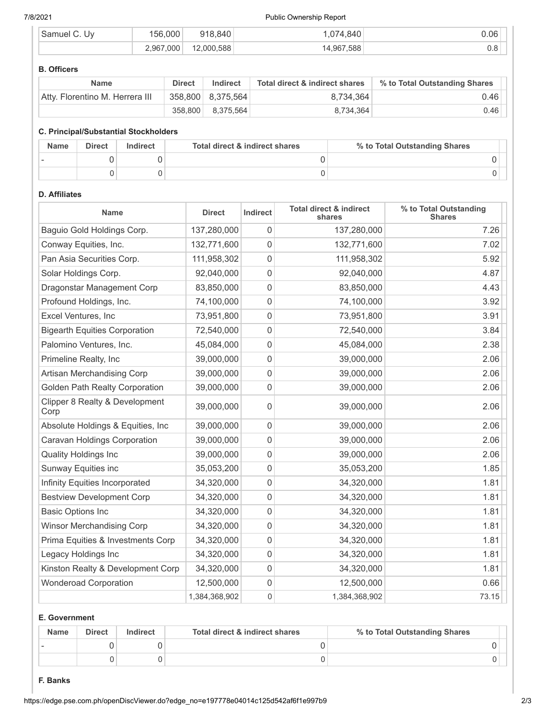#### 7/8/2021 Public Ownership Report

| Samuel<br>UV | 156.000   | 918.840    | .074.840   | $0.06^{\circ}$ |
|--------------|-----------|------------|------------|----------------|
|              | 2,967,000 | 12.000.588 | 14,967,588 | U.O            |

#### **B. Officers**

| <b>Name</b>                     | <b>Direct</b> | Indirect          | Total direct & indirect shares | % to Total Outstanding Shares |
|---------------------------------|---------------|-------------------|--------------------------------|-------------------------------|
| Atty, Florentino M. Herrera III |               | 358,800 8,375,564 | 8.734.364                      | 0.46                          |
|                                 | 358.800       | 8,375,564         | 8,734,364                      | 0.46                          |

#### **C. Principal/Substantial Stockholders**

| <b>Name</b> | <b>Direct</b> | Indirect | Total direct & indirect shares | % to Total Outstanding Shares |
|-------------|---------------|----------|--------------------------------|-------------------------------|
|             |               |          |                                |                               |
|             |               |          |                                |                               |

# **D. Affiliates**

| Name                                   | <b>Direct</b> | Indirect         | <b>Total direct &amp; indirect</b><br>shares | % to Total Outstanding<br><b>Shares</b> |
|----------------------------------------|---------------|------------------|----------------------------------------------|-----------------------------------------|
| Baguio Gold Holdings Corp.             | 137,280,000   | 0                | 137,280,000                                  | 7.26                                    |
| Conway Equities, Inc.                  | 132,771,600   | 0                | 132,771,600                                  | 7.02                                    |
| Pan Asia Securities Corp.              | 111,958,302   | 0                | 111,958,302                                  | 5.92                                    |
| Solar Holdings Corp.                   | 92,040,000    | 0                | 92,040,000                                   | 4.87                                    |
| Dragonstar Management Corp             | 83,850,000    | 0                | 83,850,000                                   | 4.43                                    |
| Profound Holdings, Inc.                | 74,100,000    | 0                | 74,100,000                                   | 3.92                                    |
| Excel Ventures, Inc                    | 73,951,800    | 0                | 73,951,800                                   | 3.91                                    |
| <b>Bigearth Equities Corporation</b>   | 72,540,000    | 0                | 72,540,000                                   | 3.84                                    |
| Palomino Ventures, Inc.                | 45,084,000    | 0                | 45,084,000                                   | 2.38                                    |
| Primeline Realty, Inc                  | 39,000,000    | $\mathbf 0$      | 39,000,000                                   | 2.06                                    |
| Artisan Merchandising Corp             | 39,000,000    | 0                | 39,000,000                                   | 2.06                                    |
| Golden Path Realty Corporation         | 39,000,000    | 0                | 39,000,000                                   | 2.06                                    |
| Clipper 8 Realty & Development<br>Corp | 39,000,000    | 0                | 39,000,000                                   | 2.06                                    |
| Absolute Holdings & Equities, Inc      | 39,000,000    | $\mathbf 0$      | 39,000,000                                   | 2.06                                    |
| Caravan Holdings Corporation           | 39,000,000    | 0                | 39,000,000                                   | 2.06                                    |
| <b>Quality Holdings Inc</b>            | 39,000,000    | 0                | 39,000,000                                   | 2.06                                    |
| Sunway Equities inc                    | 35,053,200    | 0                | 35,053,200                                   | 1.85                                    |
| Infinity Equities Incorporated         | 34,320,000    | 0                | 34,320,000                                   | 1.81                                    |
| <b>Bestview Development Corp</b>       | 34,320,000    | 0                | 34,320,000                                   | 1.81                                    |
| <b>Basic Options Inc</b>               | 34,320,000    | 0                | 34,320,000                                   | 1.81                                    |
| <b>Winsor Merchandising Corp</b>       | 34,320,000    | 0                | 34,320,000                                   | 1.81                                    |
| Prima Equities & Investments Corp      | 34,320,000    | 0                | 34,320,000                                   | 1.81                                    |
| Legacy Holdings Inc                    | 34,320,000    | 0                | 34,320,000                                   | 1.81                                    |
| Kinston Realty & Development Corp      | 34,320,000    | 0                | 34,320,000                                   | 1.81                                    |
| <b>Wonderoad Corporation</b>           | 12,500,000    | 0                | 12,500,000                                   | 0.66                                    |
|                                        | 1,384,368,902 | $\boldsymbol{0}$ | 1,384,368,902                                | 73.15                                   |

# **E. Government**

| <b>Name</b> | <b>Direct</b> | Indirect | Total direct & indirect shares | % to Total Outstanding Shares |
|-------------|---------------|----------|--------------------------------|-------------------------------|
|             |               |          |                                |                               |
|             |               |          |                                |                               |

## **F. Banks**